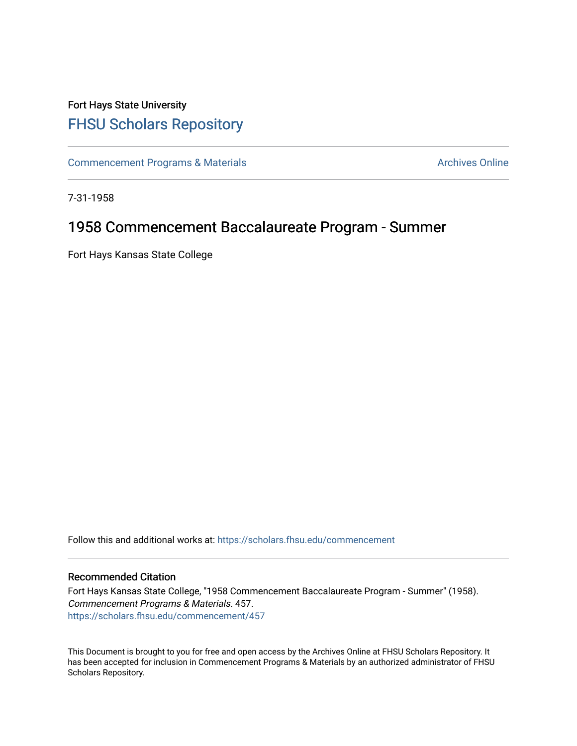## Fort Hays State University [FHSU Scholars Repository](https://scholars.fhsu.edu/)

[Commencement Programs & Materials](https://scholars.fhsu.edu/commencement) **Archives Online** Archives Online

7-31-1958

# 1958 Commencement Baccalaureate Program - Summer

Fort Hays Kansas State College

Follow this and additional works at: [https://scholars.fhsu.edu/commencement](https://scholars.fhsu.edu/commencement?utm_source=scholars.fhsu.edu%2Fcommencement%2F457&utm_medium=PDF&utm_campaign=PDFCoverPages)

### Recommended Citation

Fort Hays Kansas State College, "1958 Commencement Baccalaureate Program - Summer" (1958). Commencement Programs & Materials. 457. [https://scholars.fhsu.edu/commencement/457](https://scholars.fhsu.edu/commencement/457?utm_source=scholars.fhsu.edu%2Fcommencement%2F457&utm_medium=PDF&utm_campaign=PDFCoverPages)

This Document is brought to you for free and open access by the Archives Online at FHSU Scholars Repository. It has been accepted for inclusion in Commencement Programs & Materials by an authorized administrator of FHSU Scholars Repository.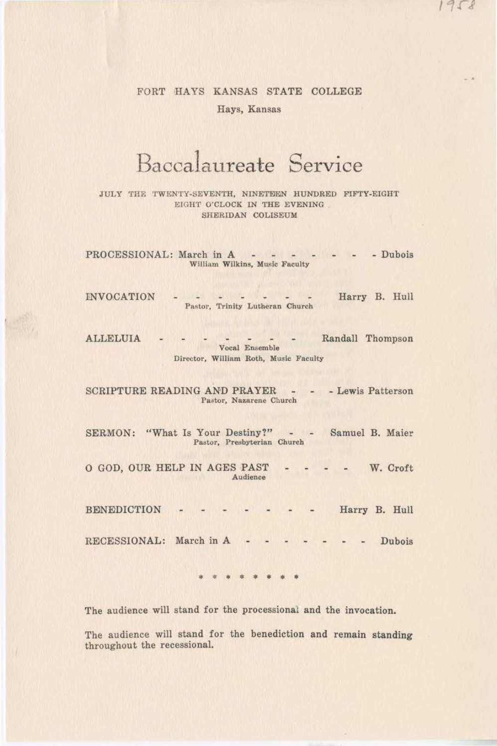## FORT HAYS KANSAS STATE COLLEGE Hays, Kansas

# Baccalaureate Service

JULY THE TWENTY-SEVENTH, NINETEEN HUNDRED FIFTY-EIGHT EIGHT O'CLOCK IN THE EVENING SHERIDAN COLISEUM

PROCESSIONAL: March in A - - - - - - Dubois William Wilkins, Music Faculty

INVOCATION - - - - - - - Harry B. Hull Pastor, Trinity Lutheran Church

ALLELUIA - - - - - - - Randall Thompson Vocal Ensemble Director, William Roth, Music Faculty

SCRIPTURE READING AND PRAYER - - - Lewis Patterson Pastor, Nazarene Church

SERMON: "What Is Your Destiny?" - - Samuel B. Maier Pastor, Presbyterian Church

0 GOD, OUR HELP IN AGES PAST - - - - W. Croft Audience

BENEDICTION - - - - - - - Harry B. Hull

RECESSIONAL: March in A . . . . . . Dubois

• \* • \* • • \* •

The audience will stand for the processional and the invocation.

The audience will stand for the benediction and remain standing throughout the recessional.

 $1958$